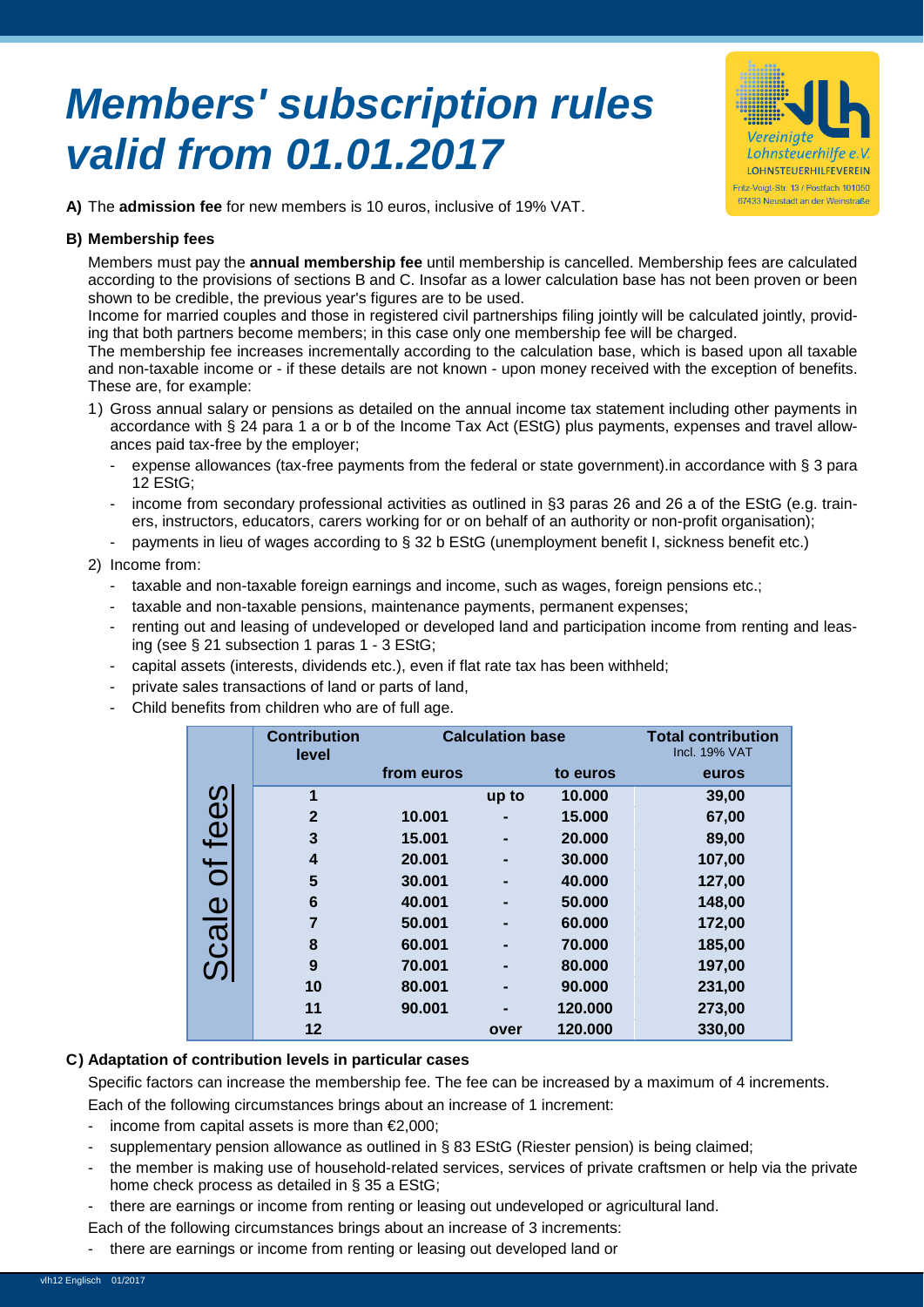# *Members' subscription rules valid from 01.01.2017*



**A)** The **admission fee** for new members is 10 euros, inclusive of 19% VAT.

#### **B) Membership fees**

Members must pay the **annual membership fee** until membership is cancelled. Membership fees are calculated according to the provisions of sections B and C. Insofar as a lower calculation base has not been proven or been shown to be credible, the previous year's figures are to be used.

Income for married couples and those in registered civil partnerships filing jointly will be calculated jointly, providing that both partners become members; in this case only one membership fee will be charged.

The membership fee increases incrementally according to the calculation base, which is based upon all taxable and non-taxable income or - if these details are not known - upon money received with the exception of benefits. These are, for example:

- 1) Gross annual salary or pensions as detailed on the annual income tax statement including other payments in accordance with § 24 para 1 a or b of the Income Tax Act (EStG) plus payments, expenses and travel allowances paid tax-free by the employer;
	- expense allowances (tax-free payments from the federal or state government).in accordance with § 3 para 12 EStG;
	- income from secondary professional activities as outlined in §3 paras 26 and 26 a of the EStG (e.g. trainers, instructors, educators, carers working for or on behalf of an authority or non-profit organisation);
	- payments in lieu of wages according to § 32 b EStG (unemployment benefit I, sickness benefit etc.)

#### 2) Income from:

- taxable and non-taxable foreign earnings and income, such as wages, foreign pensions etc.;
- taxable and non-taxable pensions, maintenance payments, permanent expenses;
- renting out and leasing of undeveloped or developed land and participation income from renting and leasing (see § 21 subsection 1 paras 1 - 3 EStG;
- capital assets (interests, dividends etc.), even if flat rate tax has been withheld;
- private sales transactions of land or parts of land,
- Child benefits from children who are of full age.

|                                      | <b>Contribution</b><br>level | <b>Calculation base</b> |       |          | <b>Total contribution</b><br><b>Incl. 19% VAT</b> |
|--------------------------------------|------------------------------|-------------------------|-------|----------|---------------------------------------------------|
|                                      |                              | from euros              |       | to euros | euros                                             |
| $\Omega$                             | 1                            |                         | up to | 10.000   | 39,00                                             |
| $\ddot{\mathbf{\Theta}}$             | $\overline{2}$               | 10.001                  |       | 15.000   | 67,00                                             |
|                                      | 3                            | 15.001                  |       | 20.000   | 89,00                                             |
|                                      | 4                            | 20,001                  |       | 30.000   | 107,00                                            |
| Ō                                    | 5                            | 30.001                  |       | 40.000   | 127,00                                            |
| $\underline{\underline{\Phi}}$       | 6                            | 40.001                  |       | 50,000   | 148,00                                            |
|                                      | 7                            | 50,001                  |       | 60,000   | 172,00                                            |
| $\overline{\overline{\mathfrak{G}}}$ | 8                            | 60.001                  |       | 70.000   | 185,00                                            |
|                                      | 9                            | 70.001                  |       | 80,000   | 197,00                                            |
|                                      | 10                           | 80.001                  |       | 90.000   | 231,00                                            |
|                                      | 11                           | 90.001                  |       | 120.000  | 273,00                                            |
|                                      | $12 \,$                      |                         | over  | 120.000  | 330,00                                            |

## **C) Adaptation of contribution levels in particular cases**

Specific factors can increase the membership fee. The fee can be increased by a maximum of 4 increments. Each of the following circumstances brings about an increase of 1 increment:

- income from capital assets is more than €2,000;
- supplementary pension allowance as outlined in § 83 EStG (Riester pension) is being claimed;
- the member is making use of household-related services, services of private craftsmen or help via the private home check process as detailed in § 35 a EStG;
- there are earnings or income from renting or leasing out undeveloped or agricultural land.
- Each of the following circumstances brings about an increase of 3 increments:
- there are earnings or income from renting or leasing out developed land or